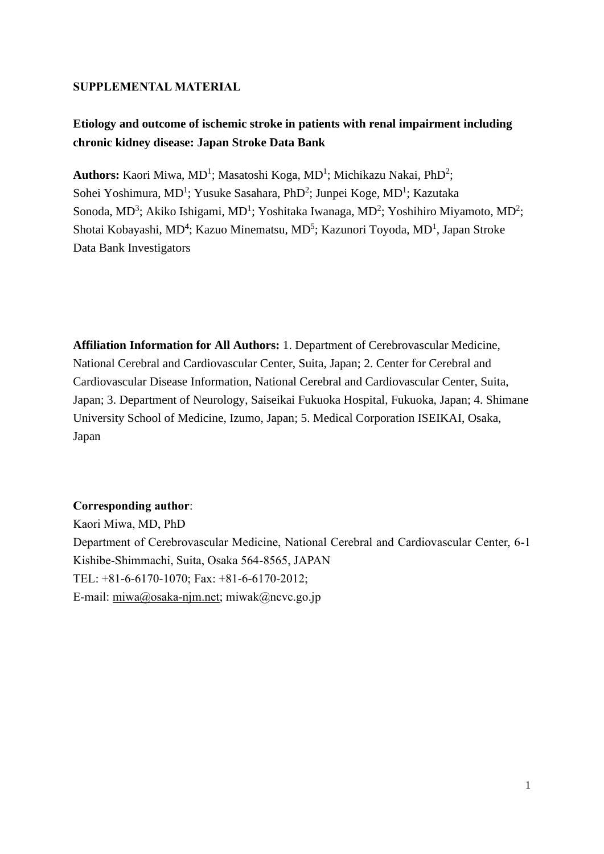#### **SUPPLEMENTAL MATERIAL**

## **Etiology and outcome of ischemic stroke in patients with renal impairment including chronic kidney disease: Japan Stroke Data Bank**

Authors: Kaori Miwa, MD<sup>1</sup>; Masatoshi Koga, MD<sup>1</sup>; Michikazu Nakai, PhD<sup>2</sup>; Sohei Yoshimura, MD<sup>1</sup>; Yusuke Sasahara, PhD<sup>2</sup>; Junpei Koge, MD<sup>1</sup>; Kazutaka Sonoda, MD<sup>3</sup>; Akiko Ishigami, MD<sup>1</sup>; Yoshitaka Iwanaga, MD<sup>2</sup>; Yoshihiro Miyamoto, MD<sup>2</sup>; Shotai Kobayashi, MD<sup>4</sup>; Kazuo Minematsu, MD<sup>5</sup>; Kazunori Toyoda, MD<sup>1</sup>, Japan Stroke Data Bank Investigators

**Affiliation Information for All Authors:** 1. Department of Cerebrovascular Medicine, National Cerebral and Cardiovascular Center, Suita, Japan; 2. Center for Cerebral and Cardiovascular Disease Information, National Cerebral and Cardiovascular Center, Suita, Japan; 3. Department of Neurology, Saiseikai Fukuoka Hospital, Fukuoka, Japan; 4. Shimane University School of Medicine, Izumo, Japan; 5. Medical Corporation ISEIKAI, Osaka, Japan

#### **Corresponding author**:

Kaori Miwa, MD, PhD Department of Cerebrovascular Medicine, National Cerebral and Cardiovascular Center, 6-1 Kishibe-Shimmachi, Suita, Osaka 564-8565, JAPAN TEL: +81-6-6170-1070; Fax: +81-6-6170-2012; E-mail: [miwa@osaka-njm.net;](mailto:miwa@osaka-njm.net) miwak@ncvc.go.jp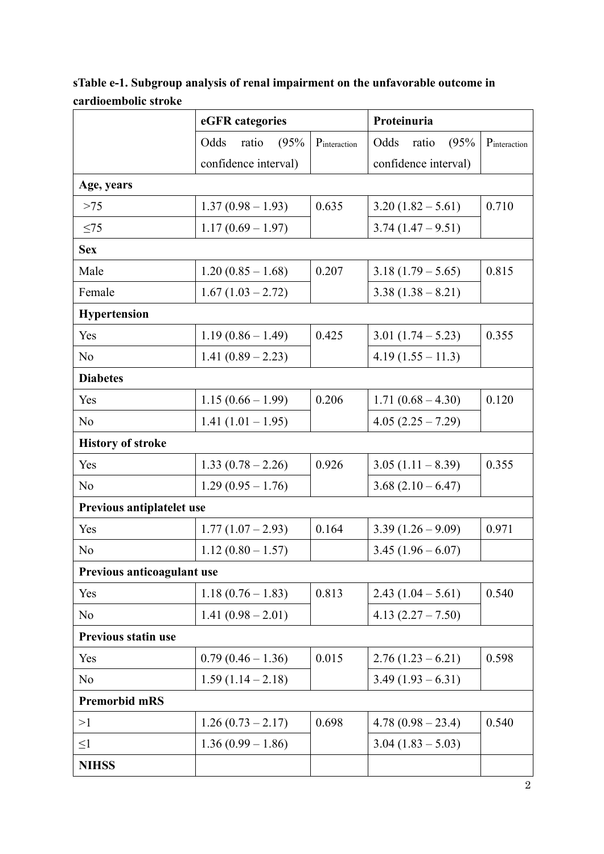|                            | eGFR categories       |              | Proteinuria           |              |  |
|----------------------------|-----------------------|--------------|-----------------------|--------------|--|
|                            | Odds<br>ratio<br>(95% | Pinteraction | Odds<br>(95%<br>ratio | Pinteraction |  |
|                            | confidence interval)  |              | confidence interval)  |              |  |
| Age, years                 |                       |              |                       |              |  |
| $>75$                      | $1.37(0.98-1.93)$     | 0.635        | $3.20(1.82 - 5.61)$   | 0.710        |  |
| $\leq$ 75                  | $1.17(0.69 - 1.97)$   |              | $3.74(1.47-9.51)$     |              |  |
| <b>Sex</b>                 |                       |              |                       |              |  |
| Male                       | $1.20(0.85 - 1.68)$   | 0.207        | $3.18(1.79-5.65)$     | 0.815        |  |
| Female                     | $1.67(1.03 - 2.72)$   |              | $3.38(1.38-8.21)$     |              |  |
| <b>Hypertension</b>        |                       |              |                       |              |  |
| Yes                        | $1.19(0.86 - 1.49)$   | 0.425        | 3.01 $(1.74 - 5.23)$  | 0.355        |  |
| No                         | $1.41(0.89 - 2.23)$   |              | $4.19(1.55 - 11.3)$   |              |  |
| <b>Diabetes</b>            |                       |              |                       |              |  |
| Yes                        | $1.15(0.66 - 1.99)$   | 0.206        | $1.71(0.68 - 4.30)$   | 0.120        |  |
| No                         | 1.41 $(1.01 - 1.95)$  |              | $4.05(2.25 - 7.29)$   |              |  |
| <b>History of stroke</b>   |                       |              |                       |              |  |
| Yes                        | $1.33(0.78-2.26)$     | 0.926        | $3.05(1.11-8.39)$     | 0.355        |  |
| No                         | $1.29(0.95 - 1.76)$   |              | $3.68(2.10-6.47)$     |              |  |
| Previous antiplatelet use  |                       |              |                       |              |  |
| Yes                        | $1.77(1.07 - 2.93)$   | 0.164        | $3.39(1.26-9.09)$     | 0.971        |  |
| No                         | $1.12(0.80 - 1.57)$   |              | $3.45(1.96-6.07)$     |              |  |
| Previous anticoagulant use |                       |              |                       |              |  |
| Yes                        | $1.18(0.76-1.83)$     | 0.813        | $2.43(1.04-5.61)$     | 0.540        |  |
| No                         | $1.41(0.98-2.01)$     |              | 4.13 $(2.27 - 7.50)$  |              |  |
| <b>Previous statin use</b> |                       |              |                       |              |  |
| Yes                        | $0.79(0.46 - 1.36)$   | 0.015        | $2.76(1.23-6.21)$     | 0.598        |  |
| N <sub>o</sub>             | $1.59(1.14-2.18)$     |              | $3.49(1.93-6.31)$     |              |  |
| <b>Premorbid mRS</b>       |                       |              |                       |              |  |
| >1                         | $1.26(0.73-2.17)$     | 0.698        | $4.78(0.98-23.4)$     | 0.540        |  |
| $\leq1$                    | $1.36(0.99 - 1.86)$   |              | $3.04(1.83 - 5.03)$   |              |  |
| <b>NIHSS</b>               |                       |              |                       |              |  |

**sTable e-1. Subgroup analysis of renal impairment on the unfavorable outcome in cardioembolic stroke**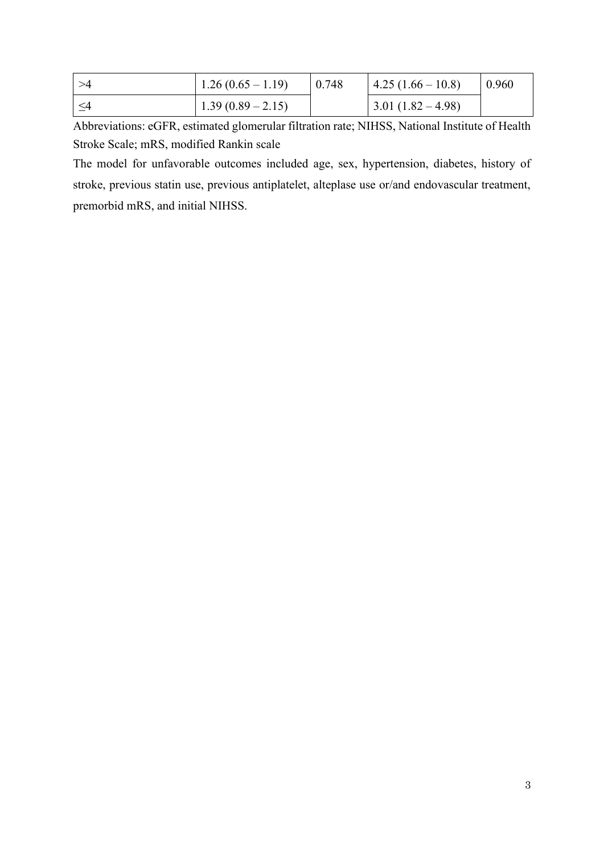| $1.26(0.65-1.19)$   | 0.748 | $\vert 4.25(1.66-10.8) \vert$ | 0.960 |
|---------------------|-------|-------------------------------|-------|
| $1.39(0.89 - 2.15)$ |       | $\mid$ 3.01 (1.82 – 4.98)     |       |

Abbreviations: eGFR, estimated glomerular filtration rate; NIHSS, National Institute of Health Stroke Scale; mRS, modified Rankin scale

The model for unfavorable outcomes included age, sex, hypertension, diabetes, history of stroke, previous statin use, previous antiplatelet, alteplase use or/and endovascular treatment, premorbid mRS, and initial NIHSS.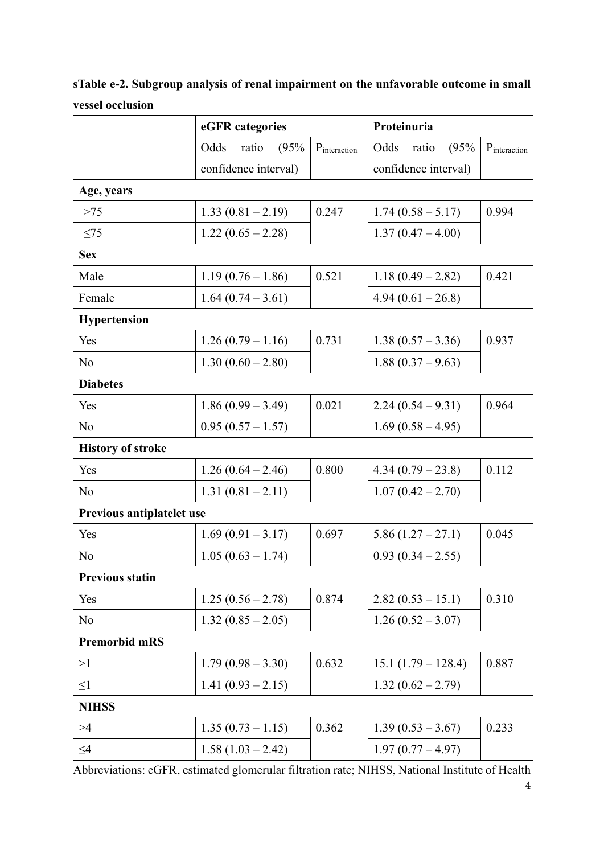**sTable e-2. Subgroup analysis of renal impairment on the unfavorable outcome in small vessel occlusion**

|                           | eGFR categories       |              | Proteinuria           |              |  |
|---------------------------|-----------------------|--------------|-----------------------|--------------|--|
|                           | (95%<br>Odds<br>ratio | Pinteraction | Odds<br>(95%<br>ratio | Pinteraction |  |
|                           | confidence interval)  |              | confidence interval)  |              |  |
| Age, years                |                       |              |                       |              |  |
| $>75$                     | $1.33(0.81 - 2.19)$   | 0.247        | $1.74(0.58 - 5.17)$   | 0.994        |  |
| $\leq$ 75                 | $1.22(0.65 - 2.28)$   |              | $1.37(0.47 - 4.00)$   |              |  |
| <b>Sex</b>                |                       |              |                       |              |  |
| Male                      | $1.19(0.76-1.86)$     | 0.521        | $1.18(0.49 - 2.82)$   | 0.421        |  |
| Female                    | $1.64(0.74-3.61)$     |              | $4.94(0.61-26.8)$     |              |  |
| <b>Hypertension</b>       |                       |              |                       |              |  |
| Yes                       | $1.26(0.79-1.16)$     | 0.731        | $1.38(0.57 - 3.36)$   | 0.937        |  |
| No                        | $1.30(0.60 - 2.80)$   |              | $1.88(0.37-9.63)$     |              |  |
| <b>Diabetes</b>           |                       |              |                       |              |  |
| Yes                       | $1.86(0.99 - 3.49)$   | 0.021        | $2.24(0.54-9.31)$     | 0.964        |  |
| No                        | $0.95(0.57-1.57)$     |              | $1.69(0.58 - 4.95)$   |              |  |
| <b>History of stroke</b>  |                       |              |                       |              |  |
| Yes                       | $1.26(0.64 - 2.46)$   | 0.800        | $4.34(0.79-23.8)$     | 0.112        |  |
| No                        | $1.31(0.81 - 2.11)$   |              | $1.07(0.42 - 2.70)$   |              |  |
| Previous antiplatelet use |                       |              |                       |              |  |
| Yes                       | $1.69(0.91 - 3.17)$   | 0.697        | $5.86(1.27-27.1)$     | 0.045        |  |
| No                        | $1.05(0.63 - 1.74)$   |              | $0.93(0.34-2.55)$     |              |  |
| <b>Previous statin</b>    |                       |              |                       |              |  |
| Yes                       | $1.25(0.56 - 2.78)$   | 0.874        | $2.82(0.53 - 15.1)$   | 0.310        |  |
| N <sub>o</sub>            | $1.32(0.85 - 2.05)$   |              | $1.26(0.52 - 3.07)$   |              |  |
| <b>Premorbid mRS</b>      |                       |              |                       |              |  |
| >1                        | $1.79(0.98 - 3.30)$   | 0.632        | $15.1 (1.79 - 128.4)$ | 0.887        |  |
| $\leq1$                   | $1.41(0.93 - 2.15)$   |              | $1.32(0.62 - 2.79)$   |              |  |
| <b>NIHSS</b>              |                       |              |                       |              |  |
| >4                        | $1.35(0.73-1.15)$     | 0.362        | $1.39(0.53 - 3.67)$   | 0.233        |  |
| $\leq4$                   | $1.58(1.03 - 2.42)$   |              | $1.97(0.77 - 4.97)$   |              |  |

Abbreviations: eGFR, estimated glomerular filtration rate; NIHSS, National Institute of Health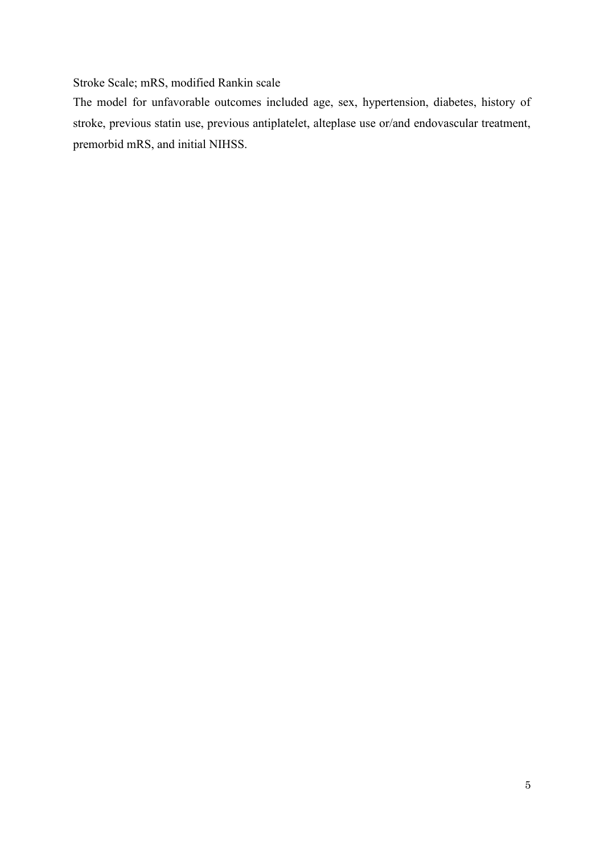#### Stroke Scale; mRS, modified Rankin scale

The model for unfavorable outcomes included age, sex, hypertension, diabetes, history of stroke, previous statin use, previous antiplatelet, alteplase use or/and endovascular treatment, premorbid mRS, and initial NIHSS.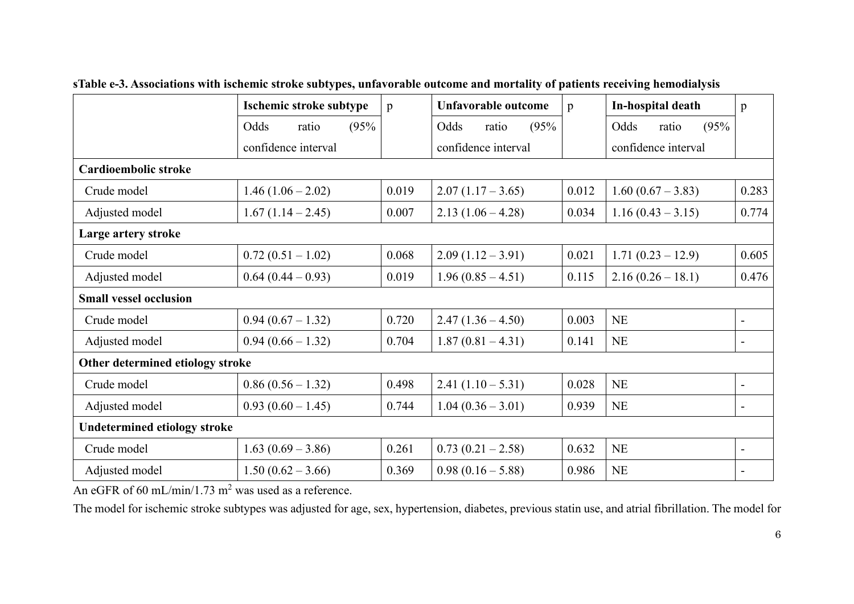|                                     | Ischemic stroke subtype | p     | Unfavorable outcome   | $\mathbf{p}$ |                       | p                        |
|-------------------------------------|-------------------------|-------|-----------------------|--------------|-----------------------|--------------------------|
|                                     | Odds<br>(95%<br>ratio   |       | Odds<br>(95%<br>ratio |              | (95%<br>Odds<br>ratio |                          |
|                                     | confidence interval     |       | confidence interval   |              | confidence interval   |                          |
| Cardioembolic stroke                |                         |       |                       |              |                       |                          |
| Crude model                         | $1.46(1.06 - 2.02)$     | 0.019 | $2.07(1.17-3.65)$     | 0.012        | $1.60(0.67 - 3.83)$   | 0.283                    |
| Adjusted model                      | $1.67(1.14-2.45)$       | 0.007 | $2.13(1.06 - 4.28)$   | 0.034        | $1.16(0.43 - 3.15)$   | 0.774                    |
| Large artery stroke                 |                         |       |                       |              |                       |                          |
| Crude model                         | $0.72(0.51-1.02)$       | 0.068 | $2.09(1.12-3.91)$     | 0.021        | $1.71(0.23-12.9)$     | 0.605                    |
| Adjusted model                      | $0.64(0.44-0.93)$       | 0.019 | $1.96(0.85 - 4.51)$   | 0.115        | $2.16(0.26 - 18.1)$   | 0.476                    |
| <b>Small vessel occlusion</b>       |                         |       |                       |              |                       |                          |
| Crude model                         | $0.94(0.67 - 1.32)$     | 0.720 | $2.47(1.36-4.50)$     | 0.003        | NE                    | $\overline{\phantom{a}}$ |
| Adjusted model                      | $0.94(0.66 - 1.32)$     | 0.704 | $1.87(0.81 - 4.31)$   | 0.141        | NE                    | $\overline{\phantom{a}}$ |
| Other determined etiology stroke    |                         |       |                       |              |                       |                          |
| Crude model                         | $0.86(0.56 - 1.32)$     | 0.498 | $2.41(1.10-5.31)$     | 0.028        | <b>NE</b>             | $\overline{\phantom{a}}$ |
| Adjusted model                      | $0.93(0.60 - 1.45)$     | 0.744 | $1.04(0.36 - 3.01)$   | 0.939        | <b>NE</b>             | $\blacksquare$           |
| <b>Undetermined etiology stroke</b> |                         |       |                       |              |                       |                          |
| Crude model                         | $1.63(0.69 - 3.86)$     | 0.261 | $0.73(0.21-2.58)$     | 0.632        | <b>NE</b>             | $\blacksquare$           |
| Adjusted model                      | $1.50(0.62 - 3.66)$     | 0.369 | $0.98(0.16-5.88)$     | 0.986        | NE                    |                          |

**sTable e-3. Associations with ischemic stroke subtypes, unfavorable outcome and mortality of patients receiving hemodialysis**

An eGFR of 60 mL/min/1.73 m<sup>2</sup> was used as a reference.

The model for ischemic stroke subtypes was adjusted for age, sex, hypertension, diabetes, previous statin use, and atrial fibrillation. The model for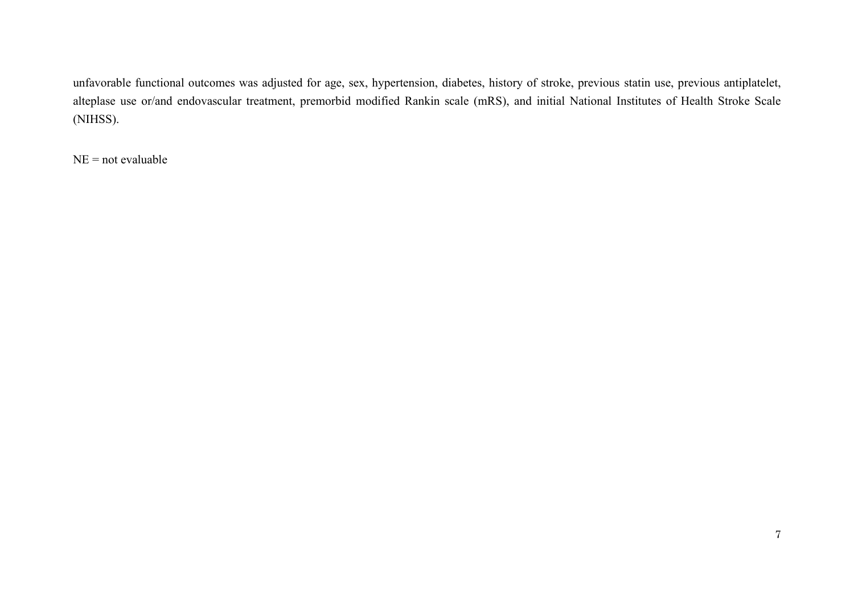unfavorable functional outcomes was adjusted for age, sex, hypertension, diabetes, history of stroke, previous statin use, previous antiplatelet, alteplase use or/and endovascular treatment, premorbid modified Rankin scale (mRS), and initial National Institutes of Health Stroke Scale (NIHSS).

 $NE = not evaluate$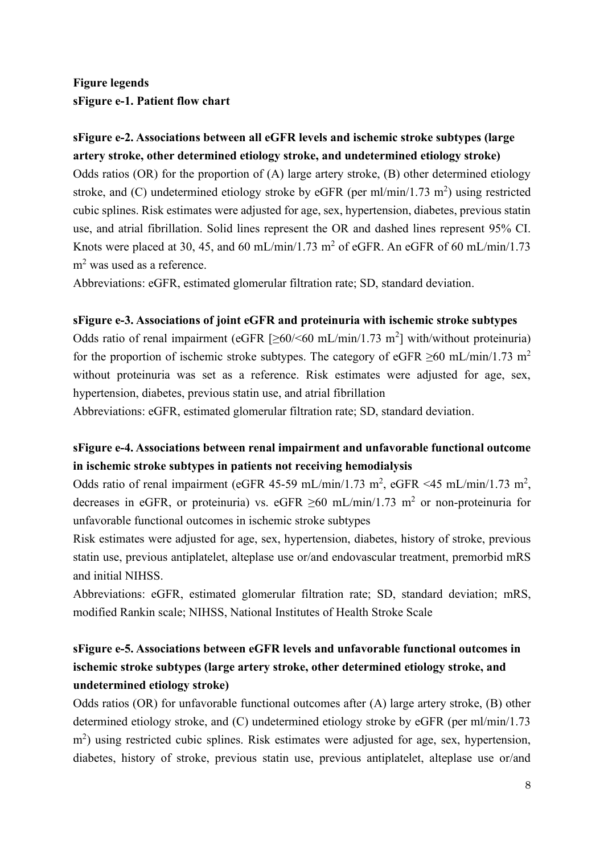### **Figure legends sFigure e-1. Patient flow chart**

#### **sFigure e-2. Associations between all eGFR levels and ischemic stroke subtypes (large artery stroke, other determined etiology stroke, and undetermined etiology stroke)**

Odds ratios (OR) for the proportion of (A) large artery stroke, (B) other determined etiology stroke, and (C) undetermined etiology stroke by eGFR (per ml/min/1.73 m<sup>2</sup>) using restricted cubic splines. Risk estimates were adjusted for age, sex, hypertension, diabetes, previous statin use, and atrial fibrillation. Solid lines represent the OR and dashed lines represent 95% CI. Knots were placed at 30, 45, and 60 mL/min/1.73 m<sup>2</sup> of eGFR. An eGFR of 60 mL/min/1.73 m<sup>2</sup> was used as a reference.

Abbreviations: eGFR, estimated glomerular filtration rate; SD, standard deviation.

#### **sFigure e-3. Associations of joint eGFR and proteinuria with ischemic stroke subtypes**

Odds ratio of renal impairment (eGFR  $[\geq 60/560 \text{ mL/min}/1.73 \text{ m}^2]$  with/without proteinuria) for the proportion of ischemic stroke subtypes. The category of eGFR  $\geq 60$  mL/min/1.73 m<sup>2</sup> without proteinuria was set as a reference. Risk estimates were adjusted for age, sex, hypertension, diabetes, previous statin use, and atrial fibrillation

Abbreviations: eGFR, estimated glomerular filtration rate; SD, standard deviation.

## **sFigure e-4. Associations between renal impairment and unfavorable functional outcome in ischemic stroke subtypes in patients not receiving hemodialysis**

Odds ratio of renal impairment (eGFR 45-59 mL/min/1.73 m<sup>2</sup>, eGFR <45 mL/min/1.73 m<sup>2</sup>, decreases in eGFR, or proteinuria) vs. eGFR  $\geq 60$  mL/min/1.73 m<sup>2</sup> or non-proteinuria for unfavorable functional outcomes in ischemic stroke subtypes

Risk estimates were adjusted for age, sex, hypertension, diabetes, history of stroke, previous statin use, previous antiplatelet, alteplase use or/and endovascular treatment, premorbid mRS and initial NIHSS.

Abbreviations: eGFR, estimated glomerular filtration rate; SD, standard deviation; mRS, modified Rankin scale; NIHSS, National Institutes of Health Stroke Scale

## **sFigure e-5. Associations between eGFR levels and unfavorable functional outcomes in ischemic stroke subtypes (large artery stroke, other determined etiology stroke, and undetermined etiology stroke)**

Odds ratios (OR) for unfavorable functional outcomes after (A) large artery stroke, (B) other determined etiology stroke, and (C) undetermined etiology stroke by eGFR (per ml/min/1.73 m<sup>2</sup>) using restricted cubic splines. Risk estimates were adjusted for age, sex, hypertension, diabetes, history of stroke, previous statin use, previous antiplatelet, alteplase use or/and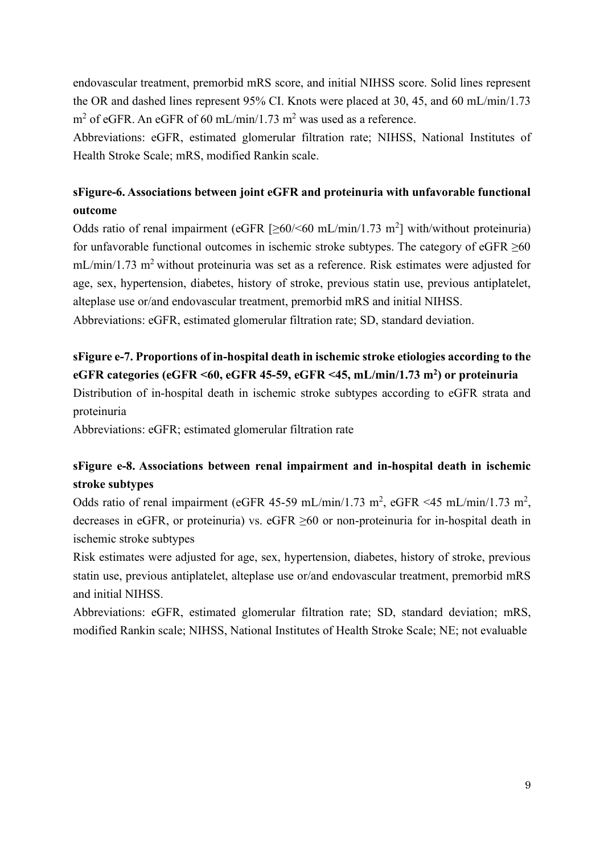endovascular treatment, premorbid mRS score, and initial NIHSS score. Solid lines represent the OR and dashed lines represent 95% CI. Knots were placed at 30, 45, and 60 mL/min/1.73  $m^2$  of eGFR. An eGFR of 60 mL/min/1.73 m<sup>2</sup> was used as a reference.

Abbreviations: eGFR, estimated glomerular filtration rate; NIHSS, National Institutes of Health Stroke Scale; mRS, modified Rankin scale.

### **sFigure-6. Associations between joint eGFR and proteinuria with unfavorable functional outcome**

Odds ratio of renal impairment (eGFR  $[\geq 60/560 \text{ mL/min}/1.73 \text{ m}^2]$  with/without proteinuria) for unfavorable functional outcomes in ischemic stroke subtypes. The category of eGFR  $\geq 60$  $mL/min/1.73$  m<sup>2</sup> without proteinuria was set as a reference. Risk estimates were adjusted for age, sex, hypertension, diabetes, history of stroke, previous statin use, previous antiplatelet, alteplase use or/and endovascular treatment, premorbid mRS and initial NIHSS.

Abbreviations: eGFR, estimated glomerular filtration rate; SD, standard deviation.

## **sFigure e-7. Proportions of in-hospital death in ischemic stroke etiologies according to the eGFR categories (eGFR <60, eGFR 45-59, eGFR <45, mL/min/1.73 m<sup>2</sup> ) or proteinuria**

Distribution of in-hospital death in ischemic stroke subtypes according to eGFR strata and proteinuria

Abbreviations: eGFR; estimated glomerular filtration rate

#### **sFigure e-8. Associations between renal impairment and in-hospital death in ischemic stroke subtypes**

Odds ratio of renal impairment (eGFR 45-59 mL/min/1.73 m<sup>2</sup>, eGFR <45 mL/min/1.73 m<sup>2</sup>, decreases in eGFR, or proteinuria) vs. eGFR ≥60 or non-proteinuria for in-hospital death in ischemic stroke subtypes

Risk estimates were adjusted for age, sex, hypertension, diabetes, history of stroke, previous statin use, previous antiplatelet, alteplase use or/and endovascular treatment, premorbid mRS and initial NIHSS.

Abbreviations: eGFR, estimated glomerular filtration rate; SD, standard deviation; mRS, modified Rankin scale; NIHSS, National Institutes of Health Stroke Scale; NE; not evaluable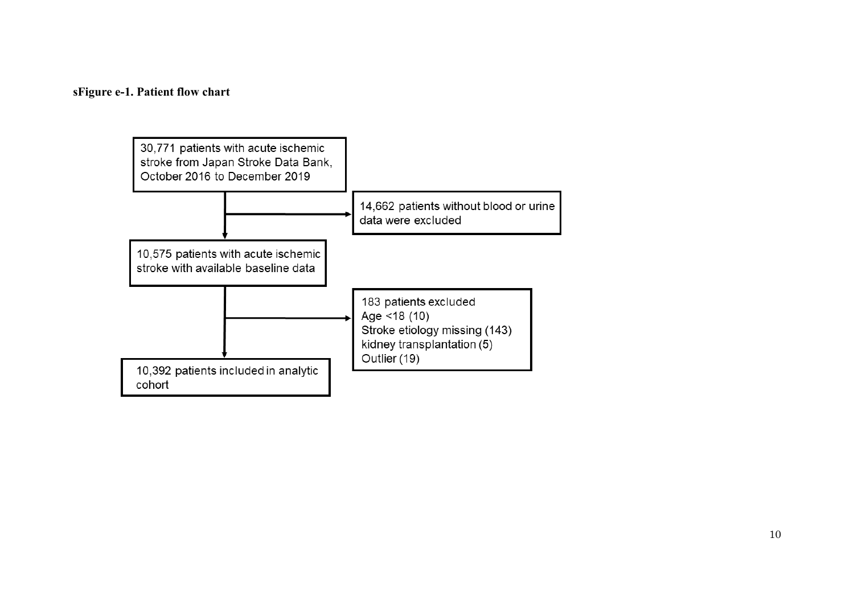#### sFigure e-1. Patient flow chart

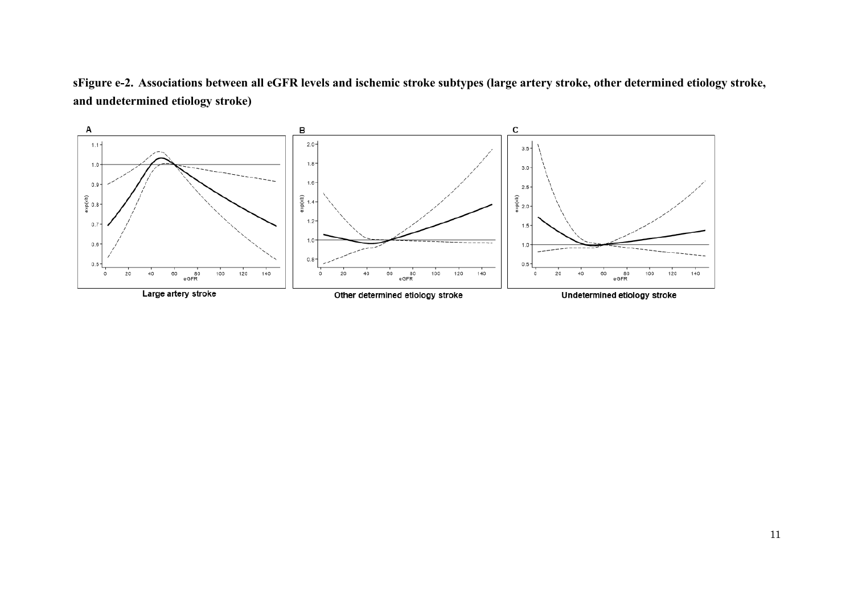**sFigure e-2. Associations between all eGFR levels and ischemic stroke subtypes (large artery stroke, other determined etiology stroke, and undetermined etiology stroke)**

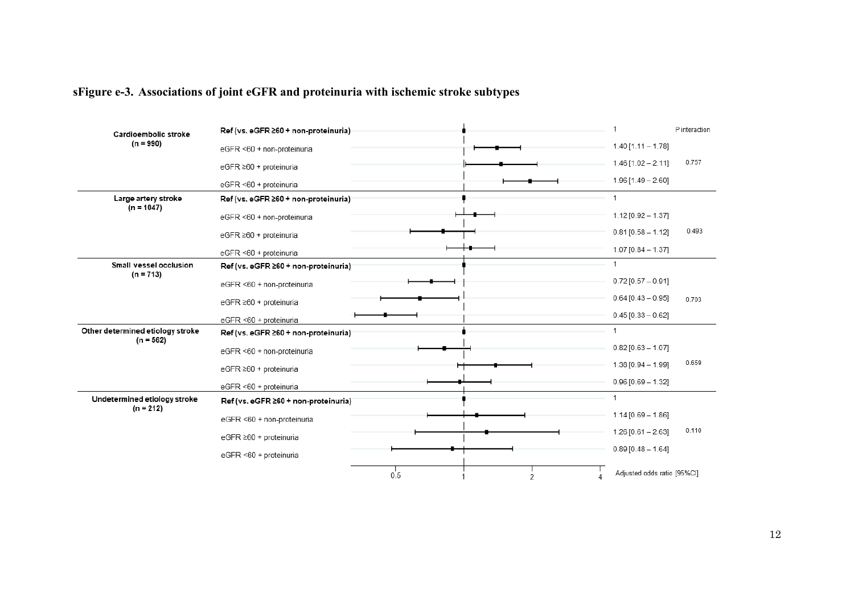# **sFigure e-3. Associations of joint eGFR and proteinuria with ischemic stroke subtypes**

| Cardioembolic stroke                            | Ref (vs. eGFR ≥60 + non-proteinuria) |          | 1                           | P interaction |
|-------------------------------------------------|--------------------------------------|----------|-----------------------------|---------------|
| $(n = 990)$                                     | eGFR <60 + non-proteinuria           |          | $1.40$ [1.11 - 1.78]        |               |
|                                                 | eGFR ≥60 + proteinuria               |          | $1.46$ [1.02 - 2.11]        | 0.757         |
|                                                 | eGFR <60 + proteinuria               |          | $1.96$ [1.49 - 2.60]        |               |
| Large artery stroke<br>$(n = 1047)$             | Ref (vs. eGFR ≥60 + non-proteinuria) |          | 1                           |               |
|                                                 | eGFR <60 + non-proteinuria           |          | $1.12$ [0.92 - 1.37]        |               |
|                                                 | eGFR ≥60 + proteinuria               |          | $0.81$ [0.58 - 1.12]        | 0.493         |
|                                                 | eGFR <60 + proteinuria               |          | $1.07$ [0.84 - 1.37]        |               |
| Small vessel occlusion<br>$(n = 713)$           | Ref (vs. eGFR ≥60 + non-proteinuria) |          | 1                           |               |
|                                                 | eGFR <60 + non-proteinuria           |          | $0.72$ [0.57 - 0.91]        |               |
|                                                 | eGFR ≥60 + proteinuria               |          | $0.64$ [0.43 - 0.95]        | 0.703         |
|                                                 | eGFR <60 + proteinuria               |          | $0.45$ [0.33 - 0.62]        |               |
| Other determined etiology stroke<br>$(n = 562)$ | Ref (vs. eGFR ≥60 + non-proteinuria) |          | 1                           |               |
|                                                 | eGFR <60 + non-proteinuria           |          | $0.82$ [0.63 - 1.07]        |               |
|                                                 | eGFR ≥60 + proteinuria               |          | $1.38$ [0.94 - 1.99]        | 0.659         |
|                                                 | eGFR <60 + proteinuria               |          | $0.96$ [0.69 - 1.32]        |               |
| Undetermined etiology stroke<br>$(n = 212)$     | Ref (vs. eGFR ≥60 + non-proteinuria) |          | 1                           |               |
|                                                 | eGFR <60 + non-proteinuria           |          | $1.14$ [0.69 - 1.86]        |               |
|                                                 | eGFR ≥60 + proteinuria               |          | $1.26$ [0.61 - 2.63]        | 0.110         |
|                                                 | eGFR <60 + proteinuria               |          | $0.89$ [0.48 - 1.64]        |               |
|                                                 |                                      | 0.5<br>2 | Adjusted odds ratio [95%CI] |               |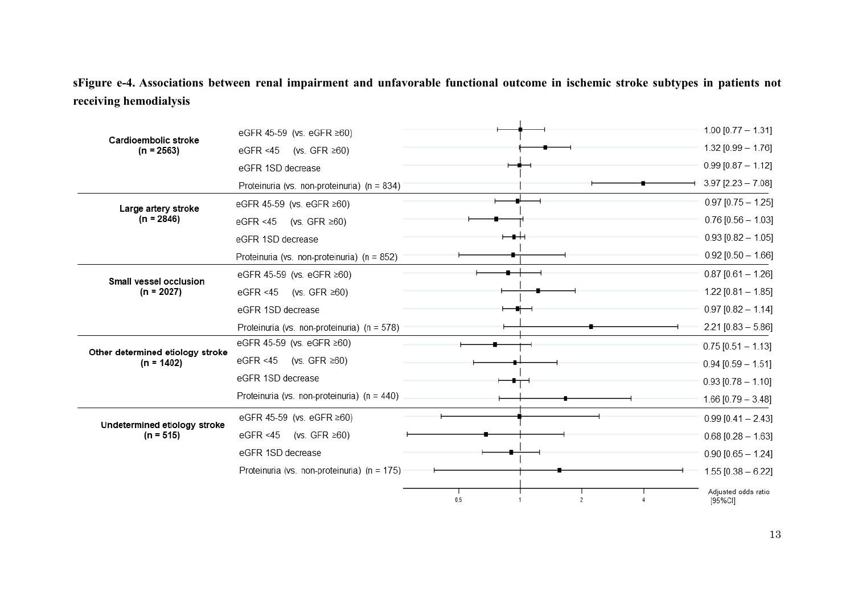sFigure e-4. Associations between renal impairment and unfavorable functional outcome in ischemic stroke subtypes in patients not receiving hemodialysis

| Cardioembolic stroke<br>$(n = 2563)$             | eGFR 45-59 (vs. eGFR ≥60)                   |     | $1.00$ [0.77 - 1.31]           |
|--------------------------------------------------|---------------------------------------------|-----|--------------------------------|
|                                                  | eGFR <45<br>(vs. GFR $\geq 60$ )            |     | $1.32$ [0.99 - 1.76]           |
|                                                  | eGFR 1SD decrease                           |     | $0.99$ [0.87 - 1.12]           |
|                                                  | Proteinuria (vs. non-proteinuria) (n = 834) |     | $3.97$ [2.23 - 7.08]           |
| Large artery stroke                              | eGFR 45-59 (vs. eGFR ≥60)                   |     | $0.97$ [0.75 - 1.25]           |
| $(n = 2846)$                                     | eGFR <45<br>(vs. GFR $\geq 60$ )            |     | $0.76$ [0.56 - 1.03]           |
|                                                  | eGFR 1SD decrease                           |     | $0.93$ [0.82 - 1.05]           |
|                                                  | Proteinuria (vs. non-proteinuria) (n = 852) |     | $0.92$ [0.50 - 1.66]           |
| Small vessel occlusion                           | eGFR 45-59 (vs. eGFR ≥60)                   |     | $0.87$ [0.61 - 1.26]           |
| $(n = 2027)$                                     | eGFR <45<br>(vs. GFR ≥60)                   |     | $1.22$ [0.81 - 1.85]           |
|                                                  | eGFR 1SD decrease                           |     | $0.97$ [0.82 - 1.14]           |
|                                                  | Proteinuria (vs. non-proteinuria) (n = 578) |     | $2.21$ [0.83 - 5.86]           |
|                                                  | eGFR 45-59 (vs. eGFR ≥60)                   |     | $0.75$ [0.51 - 1.13]           |
| Other determined etiology stroke<br>$(n = 1402)$ | eGFR <45<br>(vs. GFR $\geq 60$ )            |     | $0.94$ [0.59 - 1.51]           |
|                                                  | eGFR 1SD decrease                           |     | $0.93$ [0.78 - 1.10]           |
|                                                  | Proteinuria (vs. non-proteinuria) (n = 440) |     | $1.66$ [0.79 - 3.48]           |
|                                                  | eGFR 45-59 (vs. eGFR ≥60)                   |     | $0.99$ [0.41 - 2.43]           |
| Undetermined etiology stroke<br>$(n = 515)$      | (vs. GFR $\geq 60$ )<br>eGFR <45            |     | $0.68$ [0.28 - 1.63]           |
|                                                  | eGFR 1SD decrease                           |     | $0.90$ [0.65 - 1.24]           |
|                                                  | Proteinuria (vs. non-proteinuria) (n = 175) |     | $1.55$ [0.38 - 6.22]           |
|                                                  |                                             | 0.5 | Adjusted odds ratio<br>[95%Cl] |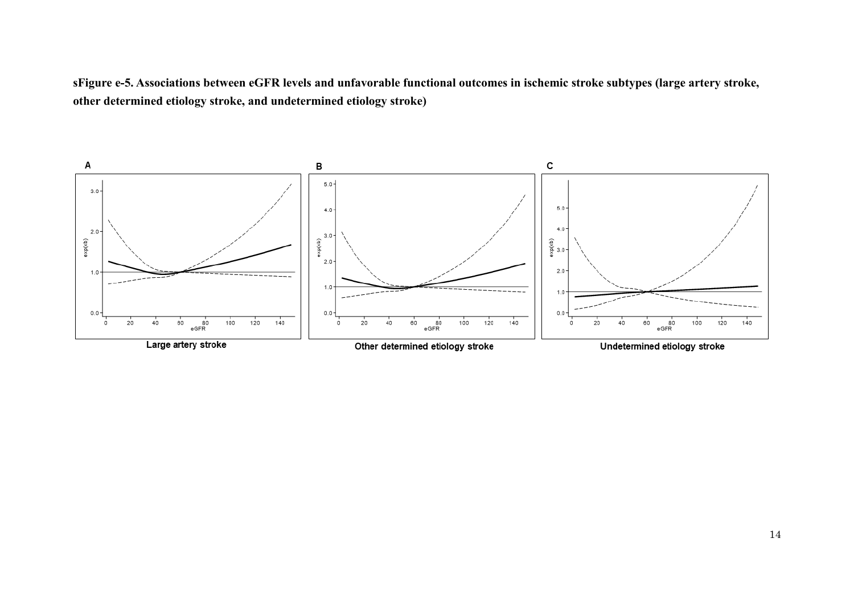**sFigure e-5. Associations between eGFR levels and unfavorable functional outcomes in ischemic stroke subtypes (large artery stroke, other determined etiology stroke, and undetermined etiology stroke)**

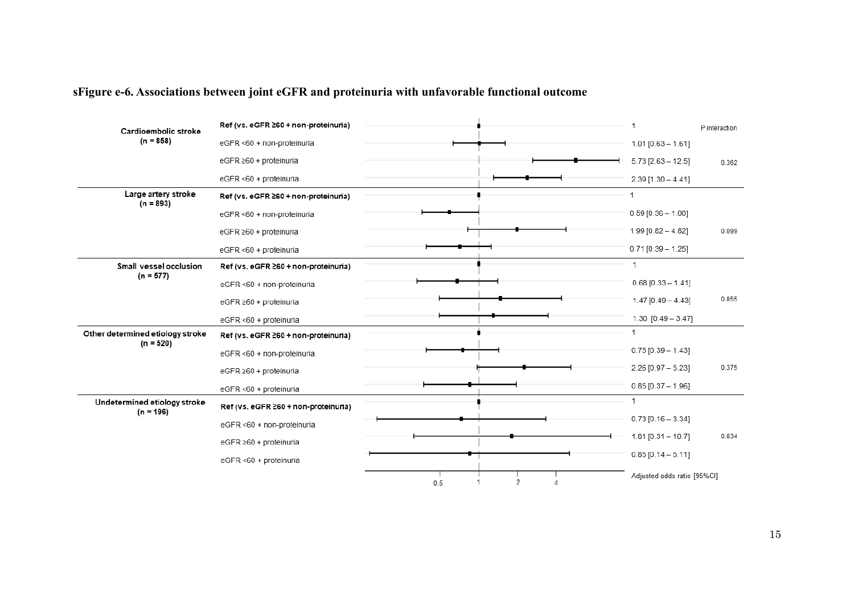# **sFigure e-6. Associations between joint eGFR and proteinuria with unfavorable functional outcome**

| Cardioembolic stroke                            | Ref (vs. eGFR ≥60 + non-proteinuria) |     |   | и                           | P interaction |
|-------------------------------------------------|--------------------------------------|-----|---|-----------------------------|---------------|
| $(n = 858)$                                     | eGFR <60 + non-proteinuria           |     |   | $1.01$ [0.63 - 1.61]        |               |
|                                                 | eGFR ≥60 + proteinuria               |     |   | $5.73$ [2.63 - 12.5]        | 0.362         |
|                                                 | eGFR <60 + proteinuria               |     |   | $2.39$ [1.30 - 4.41]        |               |
| Large artery stroke<br>$(n = 893)$              | Ref (vs. eGFR ≥60 + non-proteinuria) |     |   | 1                           |               |
|                                                 | eGFR <60 + non-proteinuria           |     |   | $0.59$ [0.36 - 1.00]        |               |
|                                                 | eGFR ≥60 + proteinuria               |     |   | $1.99$ [0.82 - 4.82]        | 0.099         |
|                                                 | eGFR <60 + proteinuria               |     |   | $0.71$ [0.39 - 1.25]        |               |
| Small vessel occlusion                          | Ref (vs. eGFR ≥60 + non-proteinuria) |     |   | 1                           |               |
| $(n = 577)$                                     | eGFR <60 + non-proteinuria           |     |   | $0.68$ [0.33 - 1.41]        |               |
|                                                 | eGFR ≥60 + proteinuria               |     |   | $1.47$ [0.49 - 4.43]        | 0.855         |
|                                                 | eGFR <60 + proteinuria               |     |   | $1.30$ $[0.49 - 3.47]$      |               |
| Other determined etiology stroke<br>$(n = 520)$ | Ref (vs. eGFR 260 + non-proteinuria) |     |   | 1                           |               |
|                                                 | eGFR <60 + non-proteinuria           |     |   | $0.75$ [0.39 - 1.43]        |               |
|                                                 | eGFR ≥60 + proteinuria               |     |   | $2.26$ [0.97 - 5.23]        | 0.375         |
|                                                 | eGFR <60 + proteinuria               |     |   | $0.85$ [0.37 - 1.96]        |               |
| Undetermined etiology stroke<br>$(n = 196)$     | Ref (vs. eGFR ≥60 + non-proteinuria) |     |   | 1                           |               |
|                                                 | eGFR <60 + non-proteinuria           |     |   | $0.73$ [0.16 - 3.34]        |               |
|                                                 | eGFR ≥60 + proteinuria               |     |   | $1.81$ [0.31 - 10.7]        | 0.834         |
|                                                 | eGFR <60 + proteinuria               |     |   | $0.85$ [0.14 - 5.11]        |               |
|                                                 |                                      | 0.5 | 2 | Adjusted odds ratio [95%CI] |               |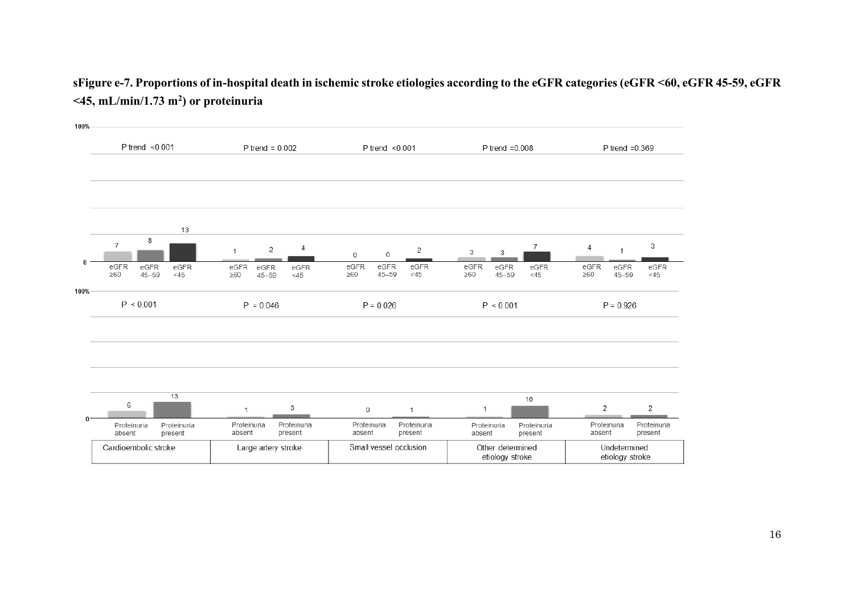## **sFigure e-7. Proportions of in-hospital death in ischemic stroke etiologies according to the eGFR categories (eGFR <60, eGFR 45-59, eGFR <45, mL/min/1.73 m<sup>2</sup> ) or proteinuria**